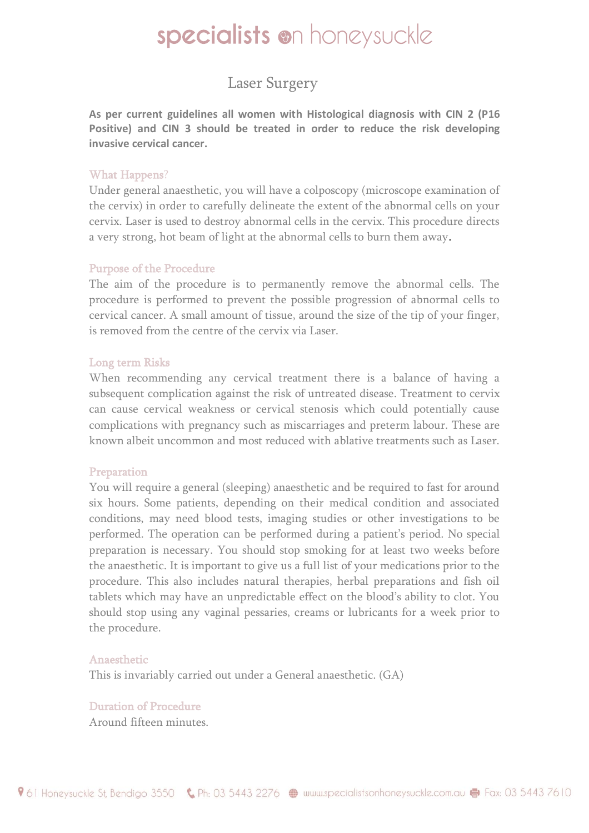# specialists on honeysuckle

## Laser Surgery

**As per current guidelines all women with Histological diagnosis with CIN 2 (P16 Positive) and CIN 3 should be treated in order to reduce the risk developing invasive cervical cancer.** 

### What Happens?

Under general anaesthetic, you will have a colposcopy (microscope examination of the cervix) in order to carefully delineate the extent of the abnormal cells on your cervix. Laser is used to destroy abnormal cells in the cervix. This procedure directs a very strong, hot beam of light at the abnormal cells to burn them away.

#### Purpose of the Procedure

The aim of the procedure is to permanently remove the abnormal cells. The procedure is performed to prevent the possible progression of abnormal cells to cervical cancer. A small amount of tissue, around the size of the tip of your finger, is removed from the centre of the cervix via Laser.

#### Long term Risks

When recommending any cervical treatment there is a balance of having a subsequent complication against the risk of untreated disease. Treatment to cervix can cause cervical weakness or cervical stenosis which could potentially cause complications with pregnancy such as miscarriages and preterm labour. These are known albeit uncommon and most reduced with ablative treatments such as Laser.

#### Preparation

You will require a general (sleeping) anaesthetic and be required to fast for around six hours. Some patients, depending on their medical condition and associated conditions, may need blood tests, imaging studies or other investigations to be performed. The operation can be performed during a patient's period. No special preparation is necessary. You should stop smoking for at least two weeks before the anaesthetic. It is important to give us a full list of your medications prior to the procedure. This also includes natural therapies, herbal preparations and fish oil tablets which may have an unpredictable effect on the blood's ability to clot. You should stop using any vaginal pessaries, creams or lubricants for a week prior to the procedure.

#### Anaesthetic

This is invariably carried out under a General anaesthetic. (GA)

#### Duration of Procedure

Around fifteen minutes.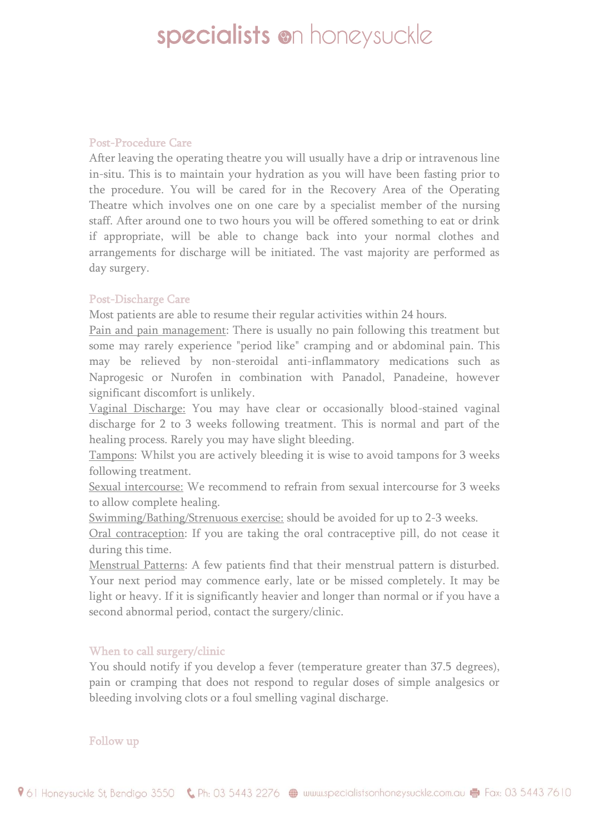# specialists on honeysuckle

#### Post-Procedure Care

After leaving the operating theatre you will usually have a drip or intravenous line in-situ. This is to maintain your hydration as you will have been fasting prior to the procedure. You will be cared for in the Recovery Area of the Operating Theatre which involves one on one care by a specialist member of the nursing staff. After around one to two hours you will be offered something to eat or drink if appropriate, will be able to change back into your normal clothes and arrangements for discharge will be initiated. The vast majority are performed as day surgery.

#### Post-Discharge Care

Most patients are able to resume their regular activities within 24 hours.

Pain and pain management: There is usually no pain following this treatment but some may rarely experience "period like" cramping and or abdominal pain. This may be relieved by non-steroidal anti-inflammatory medications such as Naprogesic or Nurofen in combination with Panadol, Panadeine, however significant discomfort is unlikely.

Vaginal Discharge: You may have clear or occasionally blood-stained vaginal discharge for 2 to 3 weeks following treatment. This is normal and part of the healing process. Rarely you may have slight bleeding.

Tampons: Whilst you are actively bleeding it is wise to avoid tampons for 3 weeks following treatment.

Sexual intercourse: We recommend to refrain from sexual intercourse for 3 weeks to allow complete healing.

Swimming/Bathing/Strenuous exercise: should be avoided for up to 2-3 weeks.

Oral contraception: If you are taking the oral contraceptive pill, do not cease it during this time.

Menstrual Patterns: A few patients find that their menstrual pattern is disturbed. Your next period may commence early, late or be missed completely. It may be light or heavy. If it is significantly heavier and longer than normal or if you have a second abnormal period, contact the surgery/clinic.

### When to call surgery/clinic

You should notify if you develop a fever (temperature greater than 37.5 degrees), pain or cramping that does not respond to regular doses of simple analgesics or bleeding involving clots or a foul smelling vaginal discharge.

### Follow up